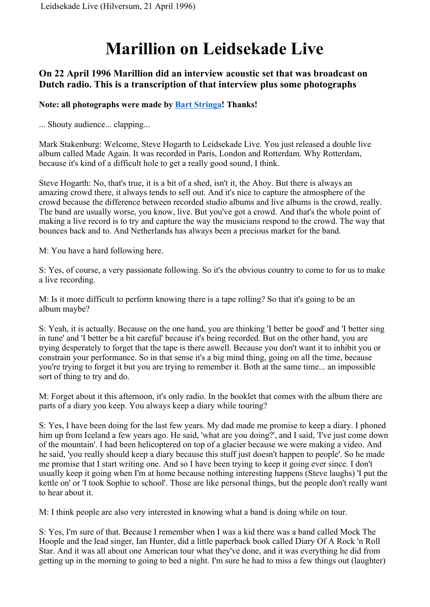## Marillion on Leidsekade Live

## On 22 April 1996 Marillion did an interview acoustic set that was broadcast on Dutch radio. This is a transcription of that interview plus some photographs

## Note: all photographs were made by Bart Stringa! Thanks!

... Shouty audience... clapping...

Mark Stakenburg: Welcome, Steve Hogarth to Leidsekade Live. You just released a double live album called Made Again. It was recorded in Paris, London and Rotterdam. Why Rotterdam, because it's kind of a difficult hole to get a really good sound, I think.

Steve Hogarth: No, that's true, it is a bit of a shed, isn't it, the Ahoy. But there is always an amazing crowd there, it always tends to sell out. And it's nice to capture the atmosphere of the crowd because the difference between recorded studio albums and live albums is the crowd, really. The band are usually worse, you know, live. But you've got a crowd. And that's the whole point of making a live record is to try and capture the way the musicians respond to the crowd. The way that bounces back and to. And Netherlands has always been a precious market for the band.

M: You have a hard following here.

S: Yes, of course, a very passionate following. So it's the obvious country to come to for us to make a live recording.

M: Is it more difficult to perform knowing there is a tape rolling? So that it's going to be an album maybe?

S: Yeah, it is actually. Because on the one hand, you are thinking 'I better be good' and 'I better sing in tune' and 'I better be a bit careful' because it's being recorded. But on the other hand, you are trying desperately to forget that the tape is there aswell. Because you don't want it to inhibit you or constrain your performance. So in that sense it's a big mind thing, going on all the time, because you're trying to forget it but you are trying to remember it. Both at the same time... an impossible sort of thing to try and do.

M: Forget about it this afternoon, it's only radio. In the booklet that comes with the album there are parts of a diary you keep. You always keep a diary while touring?

S: Yes, I have been doing for the last few years. My dad made me promise to keep a diary. I phoned him up from Iceland a few years ago. He said, 'what are you doing?', and I said, 'I've just come down of the mountain'. I had been helicoptered on top of a glacier because we were making a video. And he said, 'you really should keep a diary because this stuff just doesn't happen to people'. So he made me promise that I start writing one. And so I have been trying to keep it going ever since. I don't usually keep it going when I'm at home because nothing interesting happens (Steve laughs) 'I put the kettle on' or 'I took Sophie to school'. Those are like personal things, but the people don't really want to hear about it.

M: I think people are also very interested in knowing what a band is doing while on tour.

S: Yes, I'm sure of that. Because I remember when I was a kid there was a band called Mock The Hoople and the lead singer, Ian Hunter, did a little paperback book called Diary Of A Rock 'n Roll Star. And it was all about one American tour what they've done, and it was everything he did from getting up in the morning to going to bed a night. I'm sure he had to miss a few things out (laughter)